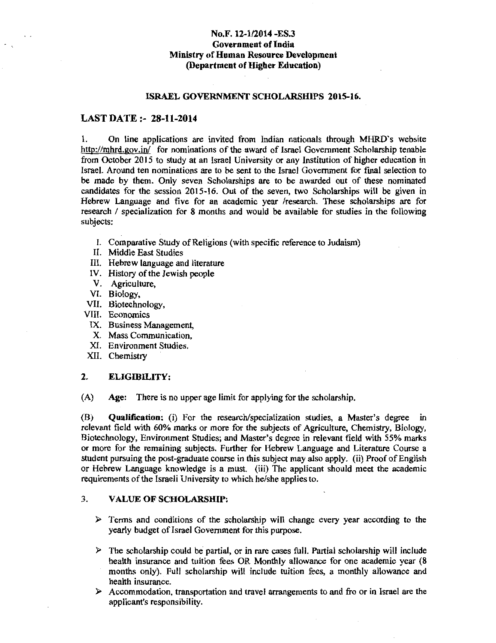# No.F. 12-1/2014 -ES.3 Government of India Ministry of Human Resource Development (Department of Higher Education)

#### ISRAEL GOVERNMENT SCHOLARSHIPS 2015-16.

#### LAST DATE:- 28-ll-2014

I. On line applications are invited from Indian nationals through MHRD's website http://mhrd.gov.in/ for nominations of the award of Israel Government Scholarship tenable from October 2015 to study at an Israel University or any Institution of higher education in Israel. Around ten nominations are to be sent to the Israel Government for fmal selection to be made by them. Only seven Scholarships are to be awarded out of these nominated candidates for the session 2015-16. Out of the seven, two Scholarships will be given in Hebrew Language and five for an academic year /research. These scholarships are for research / specialization for 8 months and would be available for studies in the following subjects:

- I. Comparative Study of Religions (with specific reference to Judaism)
- II. Middle East Studies
- III. Hebrew language and literature
- IV. History of the Jewish people
- V. Agriculture,
- VI. Biology,
- VII. Biotechnology,
- VIII. Economics
- IX. Business Management,
- X. Mass Communication,
- XI. Environment Studies.
- XII. Chemistry

## 2. ELIGIBILITY:

(A) Age: There is no upper age limit for applying for the scholarship.

(B) Qualification: (i) For the research/specialization studies, a Master's degree in relevant field with 60% marks or more for the subjects of Agriculture, Chemistry, Biology, Biotechnology, Environment Studies; and Master's degree in relevant field with *55%* marks or more for the remaining subjects. Further for Hebrew Language and Literature Course a student pursuing the post-graduate course in this subject may also apply. (ii) Proof of English or Hebrew Language knowledge is a must. (iii) The applicant should meet the academic requirements of the Israeli University to which he/she applies to.

#### 3. VALUE OF SCHOLARSHIP:

- $\triangleright$  Terms and conditions of the scholarship will change every year according to the yearly budget of Israel Government for this purpose.
- $\triangleright$  The scholarship could be partial, or in rare cases full. Partial scholarship will include health insurance and tuition fees OR Monthly allowance for one academic year (8 months only). Full scholarship will include tuition fees, a monthly allowance and health insurance.
- $\triangleright$  Accommodation, transportation and travel arrangements to and fro or in Israel are the applicant's responsibility.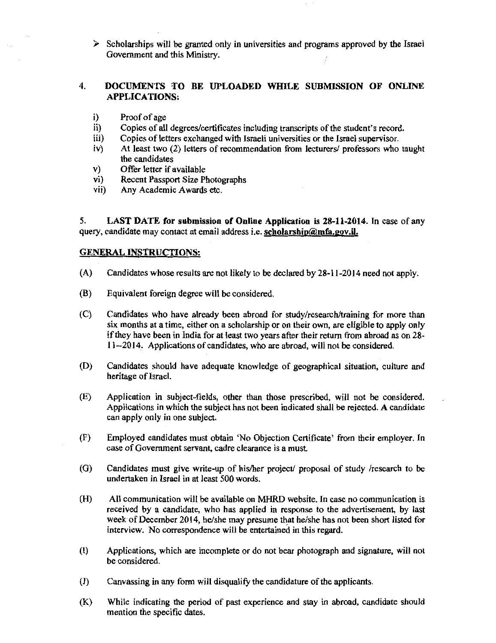l> Scholarships will be granted only in universities and programs approved by the Israel Government and this Ministry.

# 4. DOCUMENTS TO BE UPLOADED WHILE SUBMISSION OF ONLINE APPLICATIONS:

- i) Proof of age<br>ii) Copies of all
- Copies of all degrees/certificates including transcripts of the student's record.
- iii) Copies of letters exchanged with Israeli universities or the Israel supervisor.
- iv) At least two (2) letters of recommendation from lecturers/ professors who taught the candidates
- v) Offer letter if available<br>vi) Recent Passport Size P
- vi) Recent Passport Size Photographs<br>vii) Any Academic Awards etc.
- Any Academic Awards etc.

5. LAST DATE for submission of Online Application is 28-11-2014. In case of any query, candidate may contact at email address i.e. scholarship@mfa.gov.il.

## GENERAL INSTRUCTIONS:

- (A) Candidates whose results are not likely to be declared by 28-11-2014 need not apply.
- (B) Equivalent foreign degree will be considered.
- (C) Candidates who have already been abroad for study/research/training for more than six months at a time, either on a scholarship or on their own, are eligible to apply only if they have been in India for at least two years after their return from abroad as on 28- 11--2014. Applications of candidates, who are abroad, will not be considered.
- (D) Candidates should have adequate knowledge of geographical situation, culture and heritage of Israel.
- (E) Application in subject-fields, other than those prescribed, will not be considered. Applications in which the subject has not been indicated shall be rejected. A candidate can apply only in one subject.
- (F) Employed candidates must obtain 'No Objection Certificate' from their employer. In case of Government servant, cadre clearance is a must.
- (G) Candidates must give write-up of his/her project/ proposal of study /research to be undertaken in Israel in at least 500 words.
- (H) All communication will be available on MHRD website. In case no communication is received by a candidate, who has applied in response to the advertisement, by last week of December 2014, he/she may presume that he/she has not been short listed for interview. No correspondence will be entertained in this regard.
- (I) Applications, which are incomplete or do not bear photograph and signature, will not be considered.
- (J) Canvassing in any form will disqualify the candidature of the applicants.
- (K) While indicating the period of past experience and stay in abroad, candidate should mention the specific dates.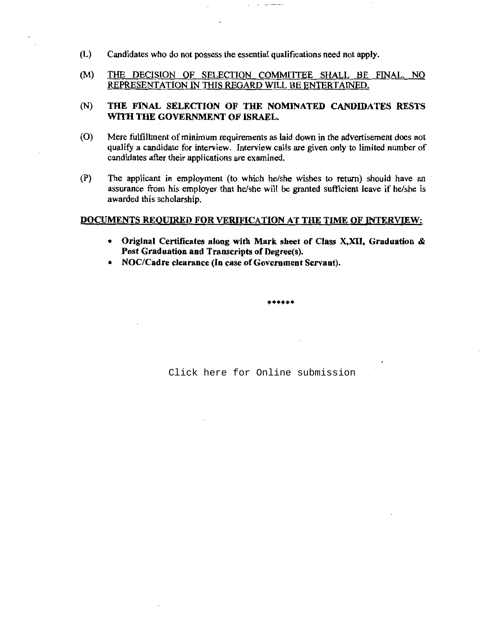- (L) Candidates who do not possess the essential qualifications need not apply.
- (M) THE DECISION OF SELECTION COMMITTEE SHALL BE FINAL. NO REPRESENTATION IN THIS REGARD WILL BE ENTERTAINED.

## (N) THE FINAL SELECTION OF THE NOMINATED CANDIDATES RESTS WITH THE GOVERNMENT OF ISRAEL.

- (0) Mere fulfillment of minimum requirements as laid down in the advertisement does not qualify a candidate for interview. Interview calls are given only to limited number of candidates after their applications are examined.
- (P) The applicant in employment (to which he/she wishes to return) should have an assurance from his employer that he/she will be granted sufficient leave if he/she is awarded this scholarship.

#### DOCUMENTS REOUIRED FOR VERIFICATION AT THE TIME OF INTERVIEW:

• Original Certificates along with Mark sheet of Class X,XII, Graduation & Post Graduation and Transcripts of Degree(s).

\*\*\*\*\*\*

• NOC/Cadre clearance (In case of Government Servant).

[Click here for Online submission](http://proposal.sakshat.ac.in/scholarship/)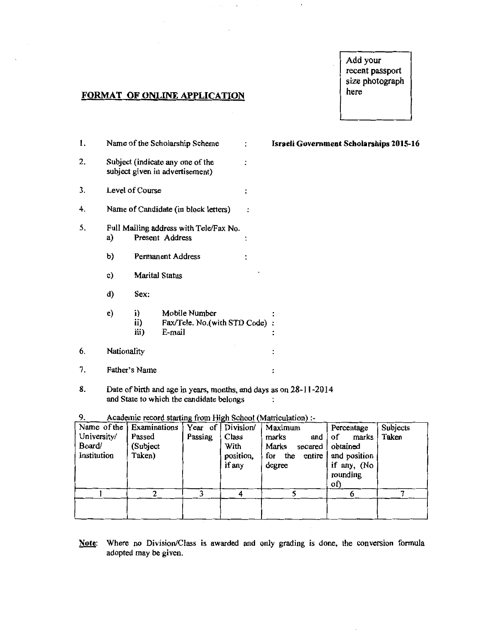# Add your recent passport size photograph here

# **FORMAT OF ONLINE APPLICATION**

| 1. |                                                                 |                       | Name of the Scholarship Scheme                                      |                | Israeli Government Scholarships 2015-16 |
|----|-----------------------------------------------------------------|-----------------------|---------------------------------------------------------------------|----------------|-----------------------------------------|
| 2. |                                                                 |                       | Subject (indicate any one of the<br>subject given in advertisement) | $\ddot{\cdot}$ |                                         |
| 3. |                                                                 | Level of Course       |                                                                     | $\ddot{\cdot}$ |                                         |
| 4. |                                                                 |                       | Name of Candidate (in block letters)                                |                |                                         |
| 5. | Full Mailing address with Tele/Fax No.<br>Present Address<br>a) |                       |                                                                     |                |                                         |
|    | b)                                                              |                       | Permanent Address                                                   | $\ddot{\cdot}$ |                                         |
|    | c)                                                              | <b>Marital Status</b> |                                                                     |                |                                         |
|    | d)                                                              | Sex:                  |                                                                     |                |                                         |
|    | e)                                                              | i)<br>ii)<br>iii)     | Mobile Number<br>Fax/Tele. No.(with STD Code) :<br>E-mail           |                |                                         |
| 6. | Nationality                                                     |                       |                                                                     |                | $\ddot{\cdot}$                          |
| 7. |                                                                 | Father's Name         |                                                                     |                | $\ddot{\cdot}$                          |
|    |                                                                 |                       |                                                                     |                |                                         |

8. Date of birth and age in years, months, and days as on 28-11-2014 and State to which the candidate belongs  $\cdot$ 

| University/<br>Board/<br>Institution | Name of the   Examinations<br>Passed<br>(Subject<br>Taken) | ี ⊏ −<br>Year of<br>Passing | ---<br>Division/<br>Class<br>With<br>position,<br>if any | Maximum<br>marks<br>and J<br>Marks<br>secured<br>for the entire<br>degree | Percentage<br>of<br>marks<br>obtained<br>and position<br>if any, (No<br>rounding<br>of) | Subjects<br>Taken |
|--------------------------------------|------------------------------------------------------------|-----------------------------|----------------------------------------------------------|---------------------------------------------------------------------------|-----------------------------------------------------------------------------------------|-------------------|
|                                      |                                                            |                             |                                                          |                                                                           |                                                                                         |                   |
|                                      |                                                            |                             |                                                          |                                                                           |                                                                                         |                   |

9. Academic record starting from High School (Matriculation) :-

Note: Where no Division/Class is awarded and only grading is done, the conversion formula adopted may be given.